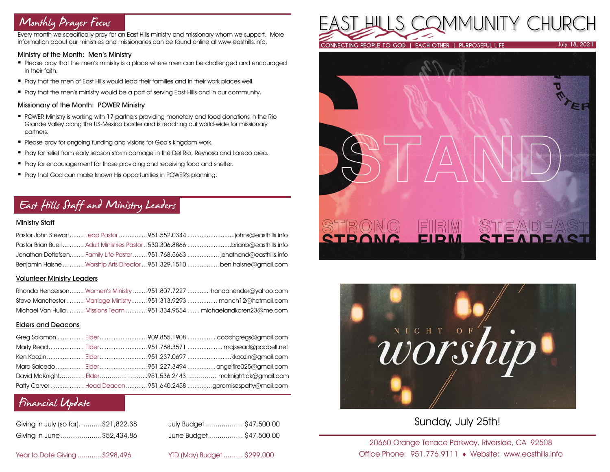# Monthly Prayer Focus

Every month we specifically pray for an East Hills ministry and missionary whom we support. More information about our ministries and missionaries can be found online at www.easthills.info.

#### Ministry of the Month: Men's Ministry

- Please pray that the men's ministry is a place where men can be challenged and encouraged in their faith.
- Pray that the men of East Hills would lead their families and in their work places well.
- Pray that the men's ministry would be a part of serving East Hills and in our community.

#### Missionary of the Month: POWER Ministry

- POWER Ministry is working with 17 partners providing monetary and food donations in the Rio Grande Valley along the US-Mexico border and is reaching out world-wide for missionary partners.
- **Please pray for ongoing funding and visions for God's kingdom work.**
- Pray for relief from early season storm damage in the Del Rio, Reynosa and Laredo area.
- **•** Pray for encouragement for those providing and receiving food and shelter.
- Pray that God can make known His opportunities in POWER's planning.

# East Hills Staff and Ministry Leaders

### Ministry Staff

|  | Pastor Brian Buell  Adult Ministries Pastor  530,306,8866 brianb@easthills.info |
|--|---------------------------------------------------------------------------------|
|  | Jonathan Detlefsen Family Life Pastor  951.768.5663  jonathand@easthills.info   |
|  | Benjamin Halsne  Worship Arts Director  951.329.1510  ben.halsne@amail.com      |

### Volunteer Ministry Leaders

|  | Rhonda Henderson Women's Ministry  951.807.7227  rhondahender@yahoo.com  |
|--|--------------------------------------------------------------------------|
|  | Steve Manchester Marriage Ministry951.313.9293  manch12@hotmail.com      |
|  | Michael Van Hulla  Missions Team  951.334.9554  michaelandkaren23@me.com |

### Elders and Deacons

|  | Ken Koozin  Elder 951.237.0697 kkoozin@gmail.com                |
|--|-----------------------------------------------------------------|
|  |                                                                 |
|  | David McKnight Elder951.536.2443 mcknight.dk@gmail.com          |
|  | Patty Carver  Head Deacon  951.640.2458 gpromisespatty@mail.com |

# Financial Update

| Giving in July (so far)\$21,822.38 |  |
|------------------------------------|--|
| Giving in June  \$52,434.86        |  |

July Budget .................... \$47,500.00 Giving in June.....................\$52,434.86 June Budget.................. \$47,500.00

Year to Date Giving ............\$298,496 YTD (May) Budget .......... \$299,000







Sunday, July 25th!

20660 Orange Terrace Parkway, Riverside, CA 92508 Office Phone: 951.776.9111 Website: www.easthills.info